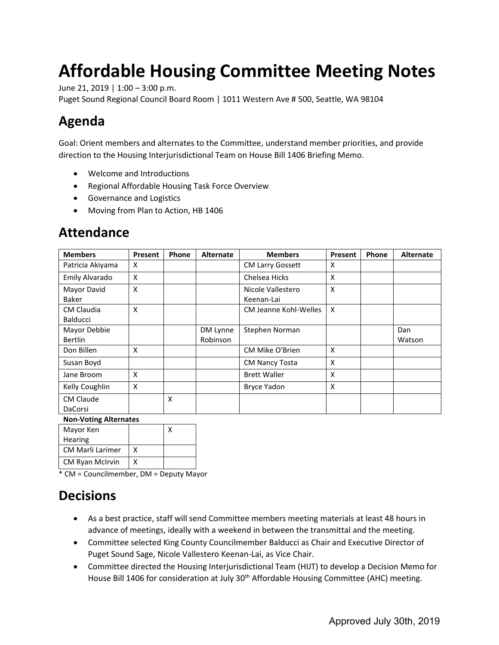# **Affordable Housing Committee Meeting Notes**

June 21, 2019 | 1:00 – 3:00 p.m.

Puget Sound Regional Council Board Room | 1011 Western Ave # 500, Seattle, WA 98104

# **Agenda**

Goal: Orient members and alternates to the Committee, understand member priorities, and provide direction to the Housing Interjurisdictional Team on House Bill 1406 Briefing Memo.

- Welcome and Introductions
- Regional Affordable Housing Task Force Overview
- Governance and Logistics
- Moving from Plan to Action, HB 1406

| <b>Attendance</b> |  |
|-------------------|--|
|-------------------|--|

| <b>Members</b>                       | <b>Present</b> | Phone | <b>Alternate</b> | <b>Members</b>                  | Present | Phone | <b>Alternate</b> |
|--------------------------------------|----------------|-------|------------------|---------------------------------|---------|-------|------------------|
| Patricia Akiyama                     | X              |       |                  | <b>CM Larry Gossett</b>         | X       |       |                  |
| Emily Alvarado                       | X              |       |                  | Chelsea Hicks                   | X       |       |                  |
| Mayor David<br><b>Baker</b>          | X              |       |                  | Nicole Vallestero<br>Keenan-Lai | X       |       |                  |
| <b>CM Claudia</b><br><b>Balducci</b> | X              |       |                  | CM Jeanne Kohl-Welles           | X       |       |                  |
| Mayor Debbie                         |                |       | DM Lynne         | Stephen Norman                  |         |       | Dan              |
| <b>Bertlin</b>                       |                |       | Robinson         |                                 |         |       | Watson           |
| Don Billen                           | X              |       |                  | CM Mike O'Brien                 | X       |       |                  |
| Susan Boyd                           |                |       |                  | <b>CM Nancy Tosta</b>           | X       |       |                  |
| Jane Broom                           | X              |       |                  | <b>Brett Waller</b>             | X       |       |                  |
| Kelly Coughlin                       | X              |       |                  | <b>Bryce Yadon</b>              | X       |       |                  |
| <b>CM Claude</b>                     |                | X     |                  |                                 |         |       |                  |
| <b>DaCorsi</b>                       |                |       |                  |                                 |         |       |                  |

#### **Non-Voting Alternates**

| Mayor Ken               |   |  |
|-------------------------|---|--|
| Hearing                 |   |  |
| <b>CM Marli Larimer</b> | x |  |
| <b>CM Ryan McIrvin</b>  | x |  |

\* CM = Councilmember, DM = Deputy Mayor

### **Decisions**

- As a best practice, staff will send Committee members meeting materials at least 48 hours in advance of meetings, ideally with a weekend in between the transmittal and the meeting.
- Committee selected King County Councilmember Balducci as Chair and Executive Director of Puget Sound Sage, Nicole Vallestero Keenan-Lai, as Vice Chair.
- Committee directed the Housing Interjurisdictional Team (HIJT) to develop a Decision Memo for House Bill 1406 for consideration at July 30<sup>th</sup> Affordable Housing Committee (AHC) meeting.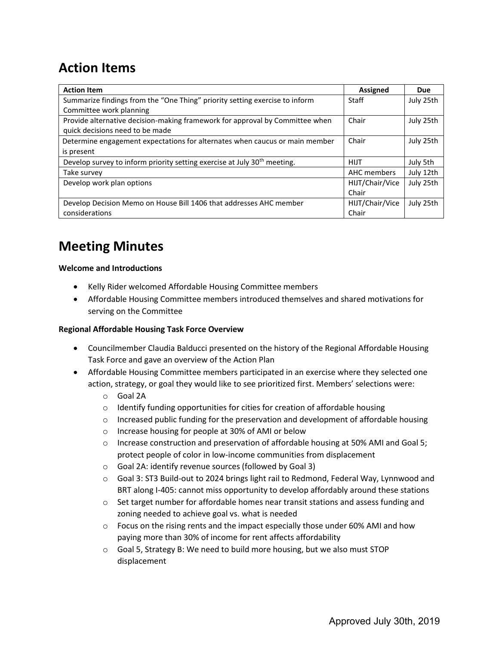# **Action Items**

| <b>Action Item</b>                                                                   | <b>Assigned</b> | <b>Due</b> |
|--------------------------------------------------------------------------------------|-----------------|------------|
| Summarize findings from the "One Thing" priority setting exercise to inform          | Staff           | July 25th  |
| Committee work planning                                                              |                 |            |
| Provide alternative decision-making framework for approval by Committee when         | Chair           | July 25th  |
| quick decisions need to be made                                                      |                 |            |
| Determine engagement expectations for alternates when caucus or main member          | Chair           | July 25th  |
| is present                                                                           |                 |            |
| Develop survey to inform priority setting exercise at July 30 <sup>th</sup> meeting. | <b>HIJT</b>     | July 5th   |
| Take survey                                                                          | AHC members     | July 12th  |
| Develop work plan options                                                            | HIJT/Chair/Vice | July 25th  |
|                                                                                      | Chair           |            |
| Develop Decision Memo on House Bill 1406 that addresses AHC member                   | HIJT/Chair/Vice | July 25th  |
| considerations                                                                       | Chair           |            |

# **Meeting Minutes**

### **Welcome and Introductions**

- Kelly Rider welcomed Affordable Housing Committee members
- Affordable Housing Committee members introduced themselves and shared motivations for serving on the Committee

### **Regional Affordable Housing Task Force Overview**

- Councilmember Claudia Balducci presented on the history of the Regional Affordable Housing Task Force and gave an overview of the Action Plan
- Affordable Housing Committee members participated in an exercise where they selected one action, strategy, or goal they would like to see prioritized first. Members' selections were:
	- o Goal 2A
	- o Identify funding opportunities for cities for creation of affordable housing
	- $\circ$  Increased public funding for the preservation and development of affordable housing
	- o Increase housing for people at 30% of AMI or below
	- $\circ$  Increase construction and preservation of affordable housing at 50% AMI and Goal 5; protect people of color in low-income communities from displacement
	- o Goal 2A: identify revenue sources (followed by Goal 3)
	- o Goal 3: ST3 Build-out to 2024 brings light rail to Redmond, Federal Way, Lynnwood and BRT along I-405: cannot miss opportunity to develop affordably around these stations
	- $\circ$  Set target number for affordable homes near transit stations and assess funding and zoning needed to achieve goal vs. what is needed
	- $\circ$  Focus on the rising rents and the impact especially those under 60% AMI and how paying more than 30% of income for rent affects affordability
	- o Goal 5, Strategy B: We need to build more housing, but we also must STOP displacement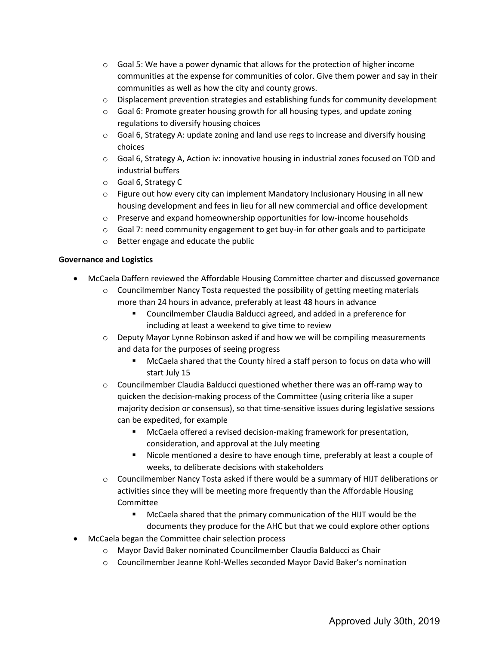- $\circ$  Goal 5: We have a power dynamic that allows for the protection of higher income communities at the expense for communities of color. Give them power and say in their communities as well as how the city and county grows.
- $\circ$  Displacement prevention strategies and establishing funds for community development
- $\circ$  Goal 6: Promote greater housing growth for all housing types, and update zoning regulations to diversify housing choices
- $\circ$  Goal 6, Strategy A: update zoning and land use regs to increase and diversify housing choices
- $\circ$  Goal 6, Strategy A, Action iv: innovative housing in industrial zones focused on TOD and industrial buffers
- o Goal 6, Strategy C
- $\circ$  Figure out how every city can implement Mandatory Inclusionary Housing in all new housing development and fees in lieu for all new commercial and office development
- o Preserve and expand homeownership opportunities for low-income households
- $\circ$  Goal 7: need community engagement to get buy-in for other goals and to participate
- o Better engage and educate the public

#### **Governance and Logistics**

- McCaela Daffern reviewed the Affordable Housing Committee charter and discussed governance
	- $\circ$  Councilmember Nancy Tosta requested the possibility of getting meeting materials more than 24 hours in advance, preferably at least 48 hours in advance
		- Councilmember Claudia Balducci agreed, and added in a preference for including at least a weekend to give time to review
	- $\circ$  Deputy Mayor Lynne Robinson asked if and how we will be compiling measurements and data for the purposes of seeing progress
		- McCaela shared that the County hired a staff person to focus on data who will start July 15
	- $\circ$  Councilmember Claudia Balducci questioned whether there was an off-ramp way to quicken the decision-making process of the Committee (using criteria like a super majority decision or consensus), so that time-sensitive issues during legislative sessions can be expedited, for example
		- McCaela offered a revised decision-making framework for presentation, consideration, and approval at the July meeting
		- Nicole mentioned a desire to have enough time, preferably at least a couple of weeks, to deliberate decisions with stakeholders
	- o Councilmember Nancy Tosta asked if there would be a summary of HIJT deliberations or activities since they will be meeting more frequently than the Affordable Housing Committee
		- McCaela shared that the primary communication of the HIJT would be the documents they produce for the AHC but that we could explore other options
- McCaela began the Committee chair selection process
	- o Mayor David Baker nominated Councilmember Claudia Balducci as Chair
	- o Councilmember Jeanne Kohl-Welles seconded Mayor David Baker's nomination